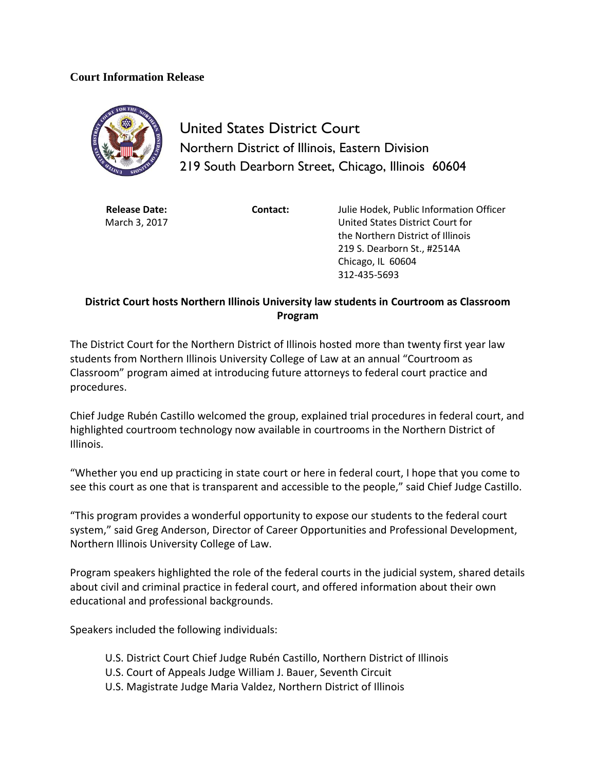## **Court Information Release**



United States District Court Northern District of Illinois, Eastern Division 219 South Dearborn Street, Chicago, Illinois 60604

**Release Date:** March 3, 2017

**Contact:** Julie Hodek, Public Information Officer United States District Court for the Northern District of Illinois 219 S. Dearborn St., #2514A Chicago, IL 60604 312-435-5693

## **District Court hosts Northern Illinois University law students in Courtroom as Classroom Program**

The District Court for the Northern District of Illinois hosted more than twenty first year law students from Northern Illinois University College of Law at an annual "Courtroom as Classroom" program aimed at introducing future attorneys to federal court practice and procedures.

Chief Judge Rubén Castillo welcomed the group, explained trial procedures in federal court, and highlighted courtroom technology now available in courtrooms in the Northern District of Illinois.

"Whether you end up practicing in state court or here in federal court, I hope that you come to see this court as one that is transparent and accessible to the people," said Chief Judge Castillo.

"This program provides a wonderful opportunity to expose our students to the federal court system," said Greg Anderson, Director of Career Opportunities and Professional Development, Northern Illinois University College of Law.

Program speakers highlighted the role of the federal courts in the judicial system, shared details about civil and criminal practice in federal court, and offered information about their own educational and professional backgrounds.

Speakers included the following individuals:

- U.S. District Court Chief Judge Rubén Castillo, Northern District of Illinois
- U.S. Court of Appeals Judge William J. Bauer, Seventh Circuit
- U.S. Magistrate Judge Maria Valdez, Northern District of Illinois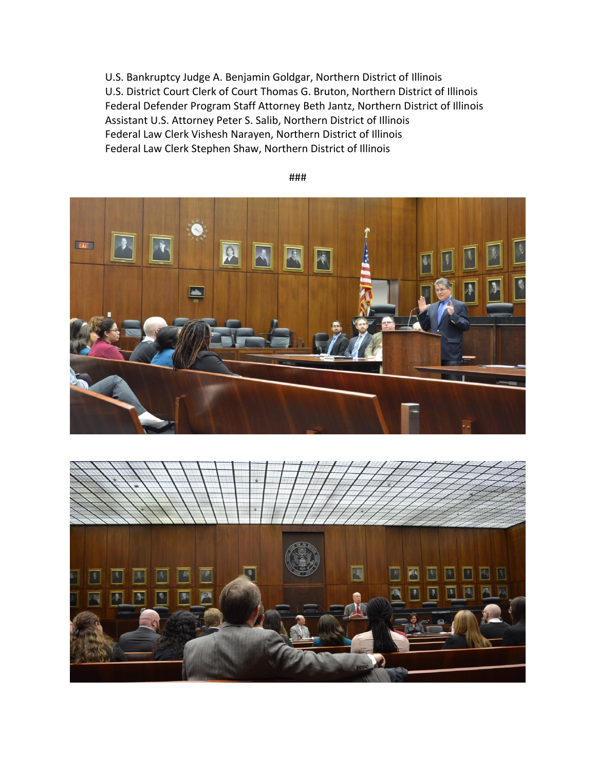U.S. Bankruptcy Judge A. Benjamin Goldgar, Northern District of Illinois U.S. District Court Clerk of Court Thomas G. Bruton, Northern District of Illinois Federal Defender Program Staff Attorney Beth Jantz, Northern District of Illinois Assistant U.S. Attorney Peter S. Salib, Northern District of Illinois Federal Law Clerk Vishesh Narayen, Northern District of Illinois Federal Law Clerk Stephen Shaw, Northern District of Illinois



###